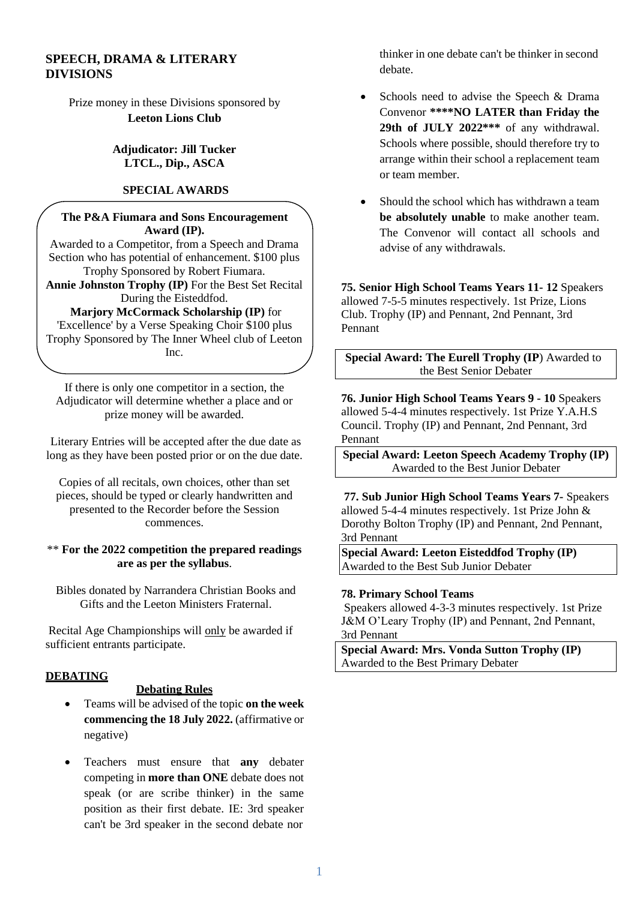# **SPEECH, DRAMA & LITERARY DIVISIONS**

Prize money in these Divisions sponsored by **Leeton Lions Club**

## **Adjudicator: Jill Tucker LTCL., Dip., ASCA**

# **SPECIAL AWARDS**

#### **The P&A Fiumara and Sons Encouragement Award (IP).**

Awarded to a Competitor, from a Speech and Drama Section who has potential of enhancement. \$100 plus Trophy Sponsored by Robert Fiumara.

**Annie Johnston Trophy (IP)** For the Best Set Recital During the Eisteddfod.

#### **Marjory McCormack Scholarship (IP)** for

'Excellence' by a Verse Speaking Choir \$100 plus Trophy Sponsored by The Inner Wheel club of Leeton Inc.

If there is only one competitor in a section, the Adjudicator will determine whether a place and or prize money will be awarded.

Literary Entries will be accepted after the due date as long as they have been posted prior or on the due date.

Copies of all recitals, own choices, other than set pieces, should be typed or clearly handwritten and presented to the Recorder before the Session commences.

#### \*\* **For the 2022 competition the prepared readings are as per the syllabus**.

Bibles donated by Narrandera Christian Books and Gifts and the Leeton Ministers Fraternal.

Recital Age Championships will only be awarded if sufficient entrants participate.

# **DEBATING**

#### **Debating Rules**

- Teams will be advised of the topic **on the week commencing the 18 July 2022.** (affirmative or negative)
- Teachers must ensure that **any** debater competing in **more than ONE** debate does not speak (or are scribe thinker) in the same position as their first debate. IE: 3rd speaker can't be 3rd speaker in the second debate nor

thinker in one debate can't be thinker in second debate.

- Schools need to advise the Speech & Drama Convenor **\*\*\*\*NO LATER than Friday the 29th of JULY 2022\*\*\*** of any withdrawal. Schools where possible, should therefore try to arrange within their school a replacement team or team member.
- Should the school which has withdrawn a team **be absolutely unable** to make another team. The Convenor will contact all schools and advise of any withdrawals.

**75. Senior High School Teams Years 11- 12** Speakers allowed 7-5-5 minutes respectively. 1st Prize, Lions Club. Trophy (IP) and Pennant, 2nd Pennant, 3rd Pennant

**Special Award: The Eurell Trophy (IP**) Awarded to the Best Senior Debater

**76. Junior High School Teams Years 9 - 10** Speakers allowed 5-4-4 minutes respectively. 1st Prize Y.A.H.S Council. Trophy (IP) and Pennant, 2nd Pennant, 3rd Pennant

**Special Award: Leeton Speech Academy Trophy (IP)** Awarded to the Best Junior Debater

**77. Sub Junior High School Teams Years 7-** Speakers allowed 5-4-4 minutes respectively. 1st Prize John & Dorothy Bolton Trophy (IP) and Pennant, 2nd Pennant, 3rd Pennant

**Special Award: Leeton Eisteddfod Trophy (IP)** Awarded to the Best Sub Junior Debater

#### **78. Primary School Teams**

Speakers allowed 4-3-3 minutes respectively. 1st Prize J&M O'Leary Trophy (IP) and Pennant, 2nd Pennant, 3rd Pennant

**Special Award: Mrs. Vonda Sutton Trophy (IP)** Awarded to the Best Primary Debater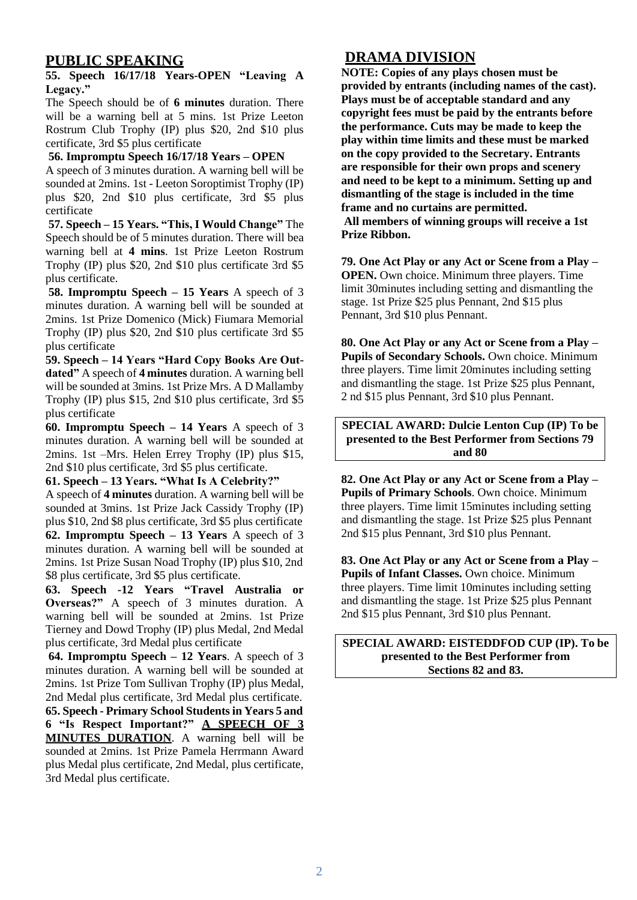# **PUBLIC SPEAKING**

#### **55. Speech 16/17/18 Years-OPEN "Leaving A Legacy."**

The Speech should be of **6 minutes** duration. There will be a warning bell at 5 mins. 1st Prize Leeton Rostrum Club Trophy (IP) plus \$20, 2nd \$10 plus certificate, 3rd \$5 plus certificate

# **56. Impromptu Speech 16/17/18 Years – OPEN**

A speech of 3 minutes duration. A warning bell will be sounded at 2mins. 1st - Leeton Soroptimist Trophy (IP) plus \$20, 2nd \$10 plus certificate, 3rd \$5 plus certificate

**57. Speech – 15 Years. "This, I Would Change"** The Speech should be of 5 minutes duration. There will bea warning bell at **4 mins**. 1st Prize Leeton Rostrum Trophy (IP) plus \$20, 2nd \$10 plus certificate 3rd \$5 plus certificate.

**58. Impromptu Speech – 15 Years** A speech of 3 minutes duration. A warning bell will be sounded at 2mins. 1st Prize Domenico (Mick) Fiumara Memorial Trophy (IP) plus \$20, 2nd \$10 plus certificate 3rd \$5 plus certificate

**59. Speech – 14 Years "Hard Copy Books Are Outdated"** A speech of **4 minutes** duration. A warning bell will be sounded at 3mins. 1st Prize Mrs. A D Mallamby Trophy (IP) plus \$15, 2nd \$10 plus certificate, 3rd \$5 plus certificate

**60. Impromptu Speech – 14 Years** A speech of 3 minutes duration. A warning bell will be sounded at 2mins. 1st –Mrs. Helen Errey Trophy (IP) plus \$15, 2nd \$10 plus certificate, 3rd \$5 plus certificate.

#### **61. Speech – 13 Years. "What Is A Celebrity?"**

A speech of **4 minutes** duration. A warning bell will be sounded at 3mins. 1st Prize Jack Cassidy Trophy (IP) plus \$10, 2nd \$8 plus certificate, 3rd \$5 plus certificate **62. Impromptu Speech – 13 Years** A speech of 3 minutes duration. A warning bell will be sounded at 2mins. 1st Prize Susan Noad Trophy (IP) plus \$10, 2nd \$8 plus certificate, 3rd \$5 plus certificate.

**63. Speech -12 Years "Travel Australia or Overseas?"** A speech of 3 minutes duration. A warning bell will be sounded at 2mins. 1st Prize Tierney and Dowd Trophy (IP) plus Medal, 2nd Medal plus certificate, 3rd Medal plus certificate

**64. Impromptu Speech – 12 Years**. A speech of 3 minutes duration. A warning bell will be sounded at 2mins. 1st Prize Tom Sullivan Trophy (IP) plus Medal, 2nd Medal plus certificate, 3rd Medal plus certificate. **65. Speech - Primary School Studentsin Years 5 and 6 "Is Respect Important?" A SPEECH OF 3 MINUTES DURATION**. A warning bell will be sounded at 2mins. 1st Prize Pamela Herrmann Award plus Medal plus certificate, 2nd Medal, plus certificate, 3rd Medal plus certificate.

# **DRAMA DIVISION**

**NOTE: Copies of any plays chosen must be provided by entrants (including names of the cast). Plays must be of acceptable standard and any copyright fees must be paid by the entrants before the performance. Cuts may be made to keep the play within time limits and these must be marked on the copy provided to the Secretary. Entrants are responsible for their own props and scenery and need to be kept to a minimum. Setting up and dismantling of the stage is included in the time frame and no curtains are permitted.**

**All members of winning groups will receive a 1st Prize Ribbon.**

**79. One Act Play or any Act or Scene from a Play – OPEN.** Own choice. Minimum three players. Time limit 30minutes including setting and dismantling the stage. 1st Prize \$25 plus Pennant, 2nd \$15 plus Pennant, 3rd \$10 plus Pennant.

**80. One Act Play or any Act or Scene from a Play – Pupils of Secondary Schools.** Own choice. Minimum three players. Time limit 20minutes including setting and dismantling the stage. 1st Prize \$25 plus Pennant, 2 nd \$15 plus Pennant, 3rd \$10 plus Pennant.

**SPECIAL AWARD: Dulcie Lenton Cup (IP) To be presented to the Best Performer from Sections 79 and 80**

**82. One Act Play or any Act or Scene from a Play – Pupils of Primary Schools**. Own choice. Minimum three players. Time limit 15minutes including setting and dismantling the stage. 1st Prize \$25 plus Pennant 2nd \$15 plus Pennant, 3rd \$10 plus Pennant.

**83. One Act Play or any Act or Scene from a Play – Pupils of Infant Classes.** Own choice. Minimum three players. Time limit 10minutes including setting and dismantling the stage. 1st Prize \$25 plus Pennant 2nd \$15 plus Pennant, 3rd \$10 plus Pennant.

**SPECIAL AWARD: EISTEDDFOD CUP (IP). To be presented to the Best Performer from Sections 82 and 83.**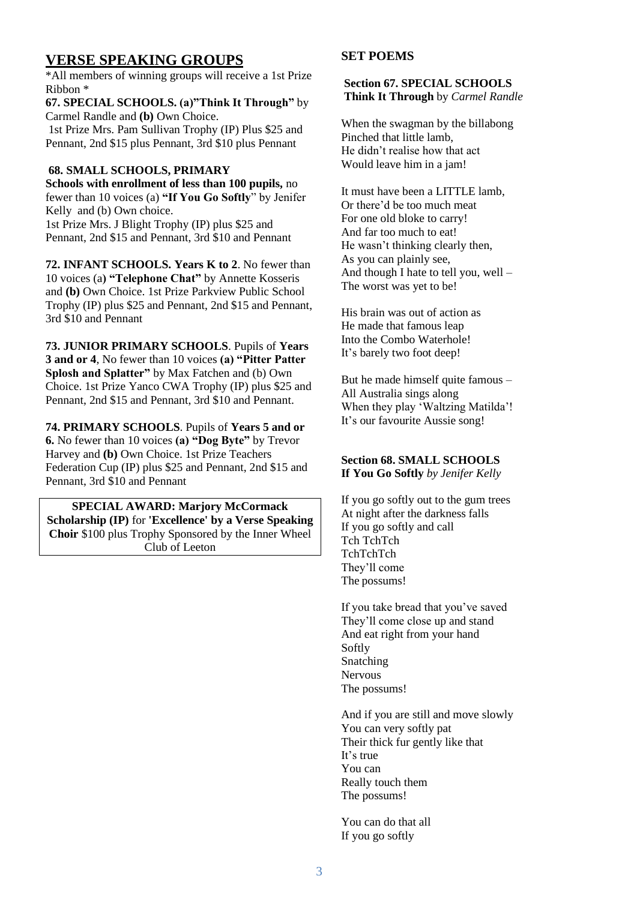# **VERSE SPEAKING GROUPS**

\*All members of winning groups will receive a 1st Prize Ribbon \*

**67. SPECIAL SCHOOLS. (a)"Think It Through"** by Carmel Randle and **(b)** Own Choice. 1st Prize Mrs. Pam Sullivan Trophy (IP) Plus \$25 and

Pennant, 2nd \$15 plus Pennant, 3rd \$10 plus Pennant

# **68. SMALL SCHOOLS, PRIMARY**

**Schools with enrollment of less than 100 pupils,** no fewer than 10 voices (a) **"If You Go Softly**" by Jenifer Kelly and (b) Own choice.

1st Prize Mrs. J Blight Trophy (IP) plus \$25 and Pennant, 2nd \$15 and Pennant, 3rd \$10 and Pennant

**72. INFANT SCHOOLS. Years K to 2**. No fewer than 10 voices (a**) "Telephone Chat"** by Annette Kosseris and **(b)** Own Choice. 1st Prize Parkview Public School Trophy (IP) plus \$25 and Pennant, 2nd \$15 and Pennant, 3rd \$10 and Pennant

**73. JUNIOR PRIMARY SCHOOLS**. Pupils of **Years 3 and or 4**, No fewer than 10 voices **(a) "Pitter Patter Splosh and Splatter"** by Max Fatchen and (b) Own Choice. 1st Prize Yanco CWA Trophy (IP) plus \$25 and Pennant, 2nd \$15 and Pennant, 3rd \$10 and Pennant.

**74. PRIMARY SCHOOLS**. Pupils of **Years 5 and or 6.** No fewer than 10 voices **(a) "Dog Byte"** by Trevor Harvey and **(b)** Own Choice. 1st Prize Teachers Federation Cup (IP) plus \$25 and Pennant, 2nd \$15 and Pennant, 3rd \$10 and Pennant

**SPECIAL AWARD: Marjory McCormack Scholarship (IP)** for **'Excellence' by a Verse Speaking Choir** \$100 plus Trophy Sponsored by the Inner Wheel Club of Leeton

# **SET POEMS**

#### **Section 67. SPECIAL SCHOOLS Think It Through** by *Carmel Randle*

When the swagman by the billabong Pinched that little lamb, He didn't realise how that act Would leave him in a jam!

It must have been a LITTLE lamb, Or there'd be too much meat For one old bloke to carry! And far too much to eat! He wasn't thinking clearly then, As you can plainly see, And though I hate to tell you, well – The worst was yet to be!

His brain was out of action as He made that famous leap Into the Combo Waterhole! It's barely two foot deep!

But he made himself quite famous – All Australia sings along When they play 'Waltzing Matilda'! It's our favourite Aussie song!

# **Section 68. SMALL SCHOOLS If You Go Softly** *by Jenifer Kelly*

If you go softly out to the gum trees At night after the darkness falls If you go softly and call Tch TchTch TchTchTch They'll come The possums!

If you take bread that you've saved They'll come close up and stand And eat right from your hand Softly Snatching Nervous The possums!

And if you are still and move slowly You can very softly pat Their thick fur gently like that It's true You can Really touch them The possums!

You can do that all If you go softly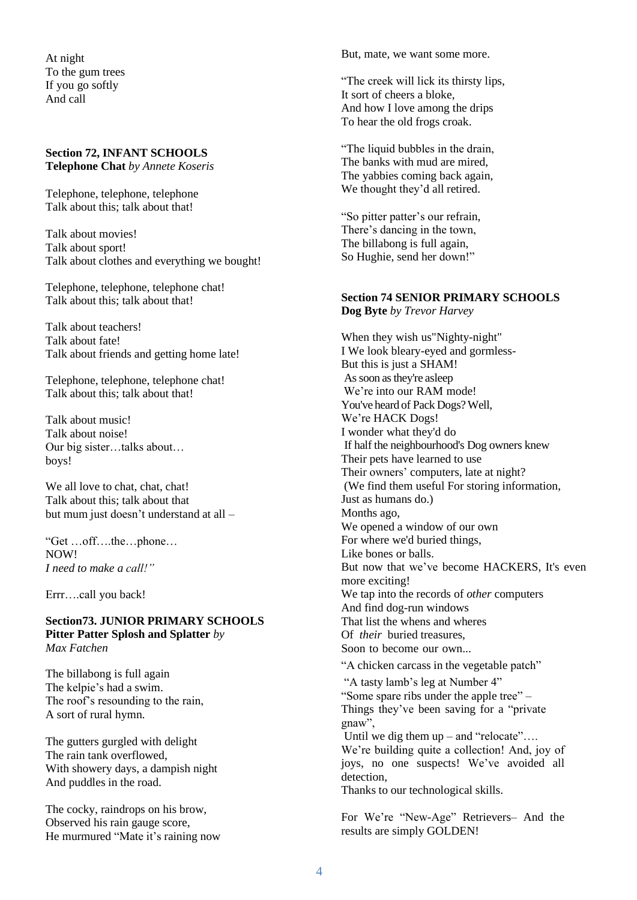At night To the gum trees If you go softly And call

#### **Section 72, INFANT SCHOOLS Telephone Chat** *by Annete Koseris*

Telephone, telephone, telephone Talk about this; talk about that!

Talk about movies! Talk about sport! Talk about clothes and everything we bought!

Telephone, telephone, telephone chat! Talk about this; talk about that!

Talk about teachers! Talk about fate! Talk about friends and getting home late!

Telephone, telephone, telephone chat! Talk about this; talk about that!

Talk about music! Talk about noise! Our big sister…talks about… boys!

We all love to chat, chat, chat! Talk about this; talk about that but mum just doesn't understand at all –

"Get …off….the…phone… NOW! *I need to make a call!"*

Errr….call you back!

**Section73. JUNIOR PRIMARY SCHOOLS Pitter Patter Splosh and Splatter** *by Max Fatchen*

The billabong is full again The kelpie's had a swim. The roof's resounding to the rain, A sort of rural hymn.

The gutters gurgled with delight The rain tank overflowed, With showery days, a dampish night And puddles in the road.

The cocky, raindrops on his brow, Observed his rain gauge score, He murmured "Mate it's raining now But, mate, we want some more.

"The creek will lick its thirsty lips, It sort of cheers a bloke, And how I love among the drips To hear the old frogs croak.

"The liquid bubbles in the drain, The banks with mud are mired, The yabbies coming back again, We thought they'd all retired.

"So pitter patter's our refrain, There's dancing in the town, The billabong is full again, So Hughie, send her down!"

# **Section 74 SENIOR PRIMARY SCHOOLS**

**Dog Byte** *by Trevor Harvey*

When they wish us"Nighty-night" I We look bleary-eyed and gormless-But this is just a SHAM! Assoon asthey're asleep We're into our RAM mode! You've heard of Pack Dogs? Well, We're HACK Dogs! I wonder what they'd do If half the neighbourhood's Dog owners knew Their pets have learned to use Their owners' computers, late at night? (We find them useful For storing information, Just as humans do.) Months ago, We opened a window of our own For where we'd buried things, Like bones or balls. But now that we've become HACKERS, It's even more exciting! We tap into the records of *other* computers And find dog-run windows That list the whens and wheres Of *their* buried treasures, Soon to become our own... "A chicken carcass in the vegetable patch" "A tasty lamb's leg at Number 4" "Some spare ribs under the apple tree" – Things they've been saving for a "private" gnaw", Until we dig them  $up$  – and "relocate".... We're building quite a collection! And, joy of joys, no one suspects! We've avoided all detection, Thanks to our technological skills.

For We're "New-Age" Retrievers– And the results are simply GOLDEN!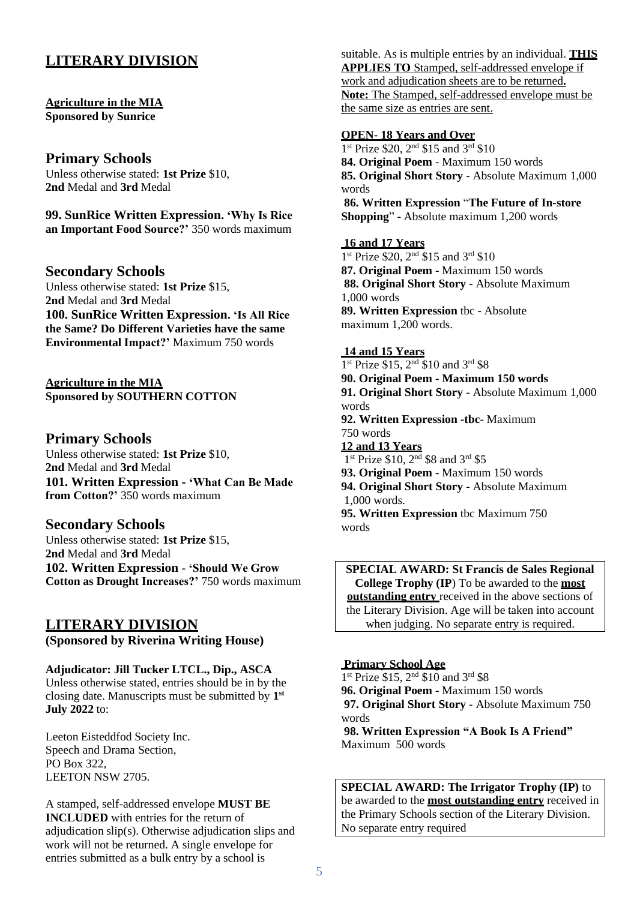# **LITERARY DIVISION**

#### **Agriculture in the MIA Sponsored by Sunrice**

# **Primary Schools**

Unless otherwise stated: **1st Prize** \$10, **2nd** Medal and **3rd** Medal

**99. SunRice Written Expression. 'Why Is Rice an Important Food Source?'** 350 words maximum

# **Secondary Schools**

Unless otherwise stated: **1st Prize** \$15, **2nd** Medal and **3rd** Medal **100. SunRice Written Expression. 'Is All Rice the Same? Do Different Varieties have the same Environmental Impact?'** Maximum 750 words

**Agriculture in the MIA Sponsored by SOUTHERN COTTON**

# **Primary Schools**

Unless otherwise stated: **1st Prize** \$10, **2nd** Medal and **3rd** Medal **101. Written Expression - 'What Can Be Made from Cotton?'** 350 words maximum

# **Secondary Schools**

Unless otherwise stated: **1st Prize** \$15, **2nd** Medal and **3rd** Medal **102. Written Expression - 'Should We Grow Cotton as Drought Increases?'** 750 words maximum

# **LITERARY DIVISION**

**(Sponsored by Riverina Writing House)**

**Adjudicator: Jill Tucker LTCL., Dip., ASCA** Unless otherwise stated, entries should be in by the closing date. Manuscripts must be submitted by **1 st July 2022** to:

Leeton Eisteddfod Society Inc. Speech and Drama Section, PO Box 322, LEETON NSW 2705.

A stamped, self-addressed envelope **MUST BE INCLUDED** with entries for the return of adjudication slip(s). Otherwise adjudication slips and work will not be returned. A single envelope for entries submitted as a bulk entry by a school is

suitable. As is multiple entries by an individual. **THIS APPLIES TO** Stamped, self-addressed envelope if work and adjudication sheets are to be returned**. Note:** The Stamped, self-addressed envelope must be the same size as entries are sent.

#### **OPEN- 18 Years and Over**

1<sup>st</sup> Prize \$20, 2<sup>nd</sup> \$15 and 3<sup>rd</sup> \$10 **84. Original Poem** - Maximum 150 words **85. Original Short Story** - Absolute Maximum 1,000 words **86. Written Expression** "**The Future of In-store Shopping**" - Absolute maximum 1,200 words

#### **16 and 17 Years**

1<sup>st</sup> Prize \$20, 2<sup>nd</sup> \$15 and 3<sup>rd</sup> \$10 **87. Original Poem** - Maximum 150 words **88. Original Short Story** - Absolute Maximum 1,000 words **89. Written Expression** tbc - Absolute maximum 1,200 words.

# **14 and 15 Years**

1<sup>st</sup> Prize \$15, 2<sup>nd</sup> \$10 and 3<sup>rd</sup> \$8 **90. Original Poem - Maximum 150 words 91. Original Short Story** - Absolute Maximum 1,000 words **92. Written Expression -tbc**- Maximum 750 words **12 and 13 Years** 1<sup>st</sup> Prize \$10, 2<sup>nd</sup> \$8 and 3<sup>rd</sup> \$5 **93. Original Poem -** Maximum 150 words **94. Original Short Story** - Absolute Maximum 1,000 words. **95. Written Expression** tbc Maximum 750

words

**SPECIAL AWARD: St Francis de Sales Regional College Trophy (IP**) To be awarded to the **most outstanding entry** received in the above sections of the Literary Division. Age will be taken into account when judging. No separate entry is required.

#### **Primary School Age**

1<sup>st</sup> Prize \$15, 2<sup>nd</sup> \$10 and 3<sup>rd</sup> \$8 **96. Original Poem** - Maximum 150 words **97. Original Short Story** - Absolute Maximum 750 words **98. Written Expression "A Book Is A Friend"** Maximum 500 words

**SPECIAL AWARD: The Irrigator Trophy (IP)** to be awarded to the **most outstanding entry** received in the Primary Schools section of the Literary Division. No separate entry required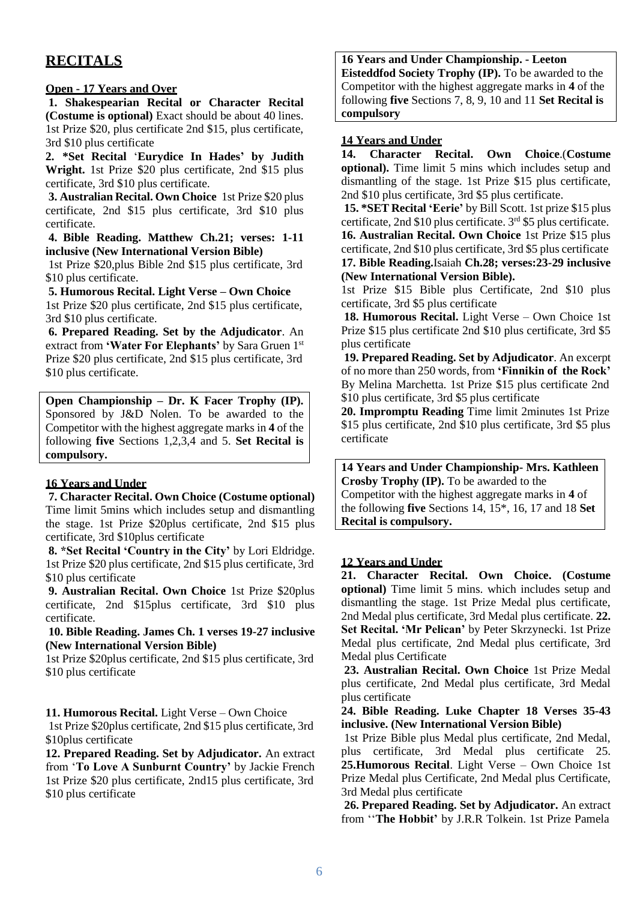# **RECITALS**

#### **Open - 17 Years and Over**

**1. Shakespearian Recital or Character Recital (Costume is optional)** Exact should be about 40 lines. 1st Prize \$20, plus certificate 2nd \$15, plus certificate, 3rd \$10 plus certificate

**2. \*Set Recital** '**Eurydice In Hades' by Judith Wright.** 1st Prize \$20 plus certificate, 2nd \$15 plus certificate, 3rd \$10 plus certificate.

**3. Australian Recital. Own Choice** 1st Prize \$20 plus certificate, 2nd \$15 plus certificate, 3rd \$10 plus certificate.

**4. Bible Reading. Matthew Ch.21; verses: 1-11 inclusive (New International Version Bible)**

1st Prize \$20,plus Bible 2nd \$15 plus certificate, 3rd \$10 plus certificate.

**5. Humorous Recital. Light Verse – Own Choice** 1st Prize \$20 plus certificate, 2nd \$15 plus certificate, 3rd \$10 plus certificate.

**6. Prepared Reading. Set by the Adjudicator**. An extract from **'Water For Elephants'** by Sara Gruen 1 st Prize \$20 plus certificate, 2nd \$15 plus certificate, 3rd \$10 plus certificate.

**Open Championship – Dr. K Facer Trophy (IP).** Sponsored by J&D Nolen. To be awarded to the Competitor with the highest aggregate marks in **4** of the following **five** Sections 1,2,3,4 and 5. **Set Recital is compulsory.**

# **16 Years and Under**

**7. Character Recital. Own Choice (Costume optional)** Time limit 5mins which includes setup and dismantling the stage. 1st Prize \$20plus certificate, 2nd \$15 plus certificate, 3rd \$10plus certificate

**8. \*Set Recital 'Country in the City'** by Lori Eldridge. 1st Prize \$20 plus certificate, 2nd \$15 plus certificate, 3rd \$10 plus certificate

**9. Australian Recital. Own Choice** 1st Prize \$20plus certificate, 2nd \$15plus certificate, 3rd \$10 plus certificate.

**10. Bible Reading. James Ch. 1 verses 19-27 inclusive (New International Version Bible)**

1st Prize \$20plus certificate, 2nd \$15 plus certificate, 3rd \$10 plus certificate

**11. Humorous Recital.** Light Verse – Own Choice

1st Prize \$20plus certificate, 2nd \$15 plus certificate, 3rd \$10plus certificate

**12. Prepared Reading. Set by Adjudicator.** An extract from '**To Love A Sunburnt Country'** by Jackie French 1st Prize \$20 plus certificate, 2nd15 plus certificate, 3rd \$10 plus certificate

## **16 Years and Under Championship. - Leeton**

**Eisteddfod Society Trophy (IP).** To be awarded to the Competitor with the highest aggregate marks in **4** of the following **five** Sections 7, 8, 9, 10 and 11 **Set Recital is compulsory**

## **14 Years and Under**

**14. Character Recital. Own Choice**.(**Costume optional).** Time limit 5 mins which includes setup and dismantling of the stage. 1st Prize \$15 plus certificate, 2nd \$10 plus certificate, 3rd \$5 plus certificate.

**15. \*SET Recital 'Eerie'** by Bill Scott. 1st prize \$15 plus certificate, 2nd \$10 plus certificate. 3 rd \$5 plus certificate. **16. Australian Recital. Own Choice** 1st Prize \$15 plus certificate, 2nd \$10 plus certificate, 3rd \$5 plus certificate **17. Bible Reading.**Isaiah **Ch.28; verses:23-29 inclusive (New International Version Bible).**

1st Prize \$15 Bible plus Certificate, 2nd \$10 plus certificate, 3rd \$5 plus certificate

**18. Humorous Recital.** Light Verse – Own Choice 1st Prize \$15 plus certificate 2nd \$10 plus certificate, 3rd \$5 plus certificate

**19. Prepared Reading. Set by Adjudicator**. An excerpt of no more than 250 words, from **'Finnikin of the Rock'** By Melina Marchetta. 1st Prize \$15 plus certificate 2nd \$10 plus certificate, 3rd \$5 plus certificate

**20. Impromptu Reading** Time limit 2minutes 1st Prize \$15 plus certificate, 2nd \$10 plus certificate, 3rd \$5 plus certificate

**14 Years and Under Championship- Mrs. Kathleen Crosby Trophy (IP).** To be awarded to the Competitor with the highest aggregate marks in **4** of the following **five** Sections 14, 15\*, 16, 17 and 18 **Set Recital is compulsory.**

#### **12 Years and Under**

**21. Character Recital. Own Choice. (Costume optional)** Time limit 5 mins. which includes setup and dismantling the stage. 1st Prize Medal plus certificate, 2nd Medal plus certificate, 3rd Medal plus certificate. **22. Set Recital. 'Mr Pelican'** by Peter Skrzynecki. 1st Prize Medal plus certificate, 2nd Medal plus certificate, 3rd Medal plus Certificate

**23. Australian Recital. Own Choice** 1st Prize Medal plus certificate, 2nd Medal plus certificate, 3rd Medal plus certificate

**24. Bible Reading. Luke Chapter 18 Verses 35-43 inclusive. (New International Version Bible)**

1st Prize Bible plus Medal plus certificate, 2nd Medal, plus certificate, 3rd Medal plus certificate 25. **25.Humorous Recital**. Light Verse – Own Choice 1st Prize Medal plus Certificate, 2nd Medal plus Certificate, 3rd Medal plus certificate

**26. Prepared Reading. Set by Adjudicator.** An extract from ''**The Hobbit'** by J.R.R Tolkein. 1st Prize Pamela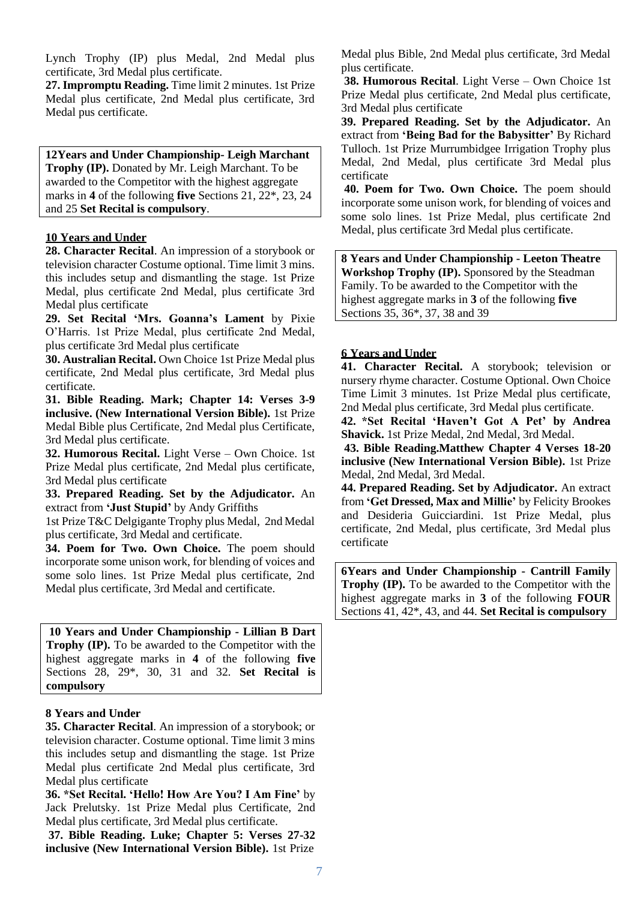Lynch Trophy (IP) plus Medal, 2nd Medal plus certificate, 3rd Medal plus certificate.

**27. Impromptu Reading.** Time limit 2 minutes. 1st Prize Medal plus certificate, 2nd Medal plus certificate, 3rd Medal pus certificate.

**12Years and Under Championship- Leigh Marchant Trophy (IP).** Donated by Mr. Leigh Marchant. To be awarded to the Competitor with the highest aggregate marks in **4** of the following **five** Sections 21, 22\*, 23, 24 and 25 **Set Recital is compulsory**.

#### **10 Years and Under**

**28. Character Recital**. An impression of a storybook or television character Costume optional. Time limit 3 mins. this includes setup and dismantling the stage. 1st Prize Medal, plus certificate 2nd Medal, plus certificate 3rd Medal plus certificate

**29. Set Recital 'Mrs. Goanna's Lament** by Pixie O'Harris. 1st Prize Medal, plus certificate 2nd Medal, plus certificate 3rd Medal plus certificate

**30. Australian Recital.** Own Choice 1st Prize Medal plus certificate, 2nd Medal plus certificate, 3rd Medal plus certificate.

**31. Bible Reading. Mark; Chapter 14: Verses 3-9 inclusive. (New International Version Bible).** 1st Prize Medal Bible plus Certificate, 2nd Medal plus Certificate, 3rd Medal plus certificate.

**32. Humorous Recital.** Light Verse – Own Choice. 1st Prize Medal plus certificate, 2nd Medal plus certificate, 3rd Medal plus certificate

**33. Prepared Reading. Set by the Adjudicator.** An extract from **'Just Stupid'** by Andy Griffiths

1st Prize T&C Delgigante Trophy plus Medal, 2nd Medal plus certificate, 3rd Medal and certificate.

**34. Poem for Two. Own Choice.** The poem should incorporate some unison work, for blending of voices and some solo lines. 1st Prize Medal plus certificate, 2nd Medal plus certificate, 3rd Medal and certificate.

**10 Years and Under Championship - Lillian B Dart Trophy (IP).** To be awarded to the Competitor with the highest aggregate marks in **4** of the following **five** Sections 28, 29\*, 30, 31 and 32. **Set Recital is compulsory**

#### **8 Years and Under**

**35. Character Recital**. An impression of a storybook; or television character. Costume optional. Time limit 3 mins this includes setup and dismantling the stage. 1st Prize Medal plus certificate 2nd Medal plus certificate, 3rd Medal plus certificate

**36. \*Set Recital. 'Hello! How Are You? I Am Fine'** by Jack Prelutsky. 1st Prize Medal plus Certificate, 2nd Medal plus certificate, 3rd Medal plus certificate.

**37. Bible Reading. Luke; Chapter 5: Verses 27-32 inclusive (New International Version Bible).** 1st Prize

Medal plus Bible, 2nd Medal plus certificate, 3rd Medal plus certificate.

**38. Humorous Recital**. Light Verse – Own Choice 1st Prize Medal plus certificate, 2nd Medal plus certificate, 3rd Medal plus certificate

**39. Prepared Reading. Set by the Adjudicator.** An extract from **'Being Bad for the Babysitter'** By Richard Tulloch. 1st Prize Murrumbidgee Irrigation Trophy plus Medal, 2nd Medal, plus certificate 3rd Medal plus certificate

**40. Poem for Two. Own Choice.** The poem should incorporate some unison work, for blending of voices and some solo lines. 1st Prize Medal, plus certificate 2nd Medal, plus certificate 3rd Medal plus certificate.

**8 Years and Under Championship - Leeton Theatre Workshop Trophy (IP).** Sponsored by the Steadman Family. To be awarded to the Competitor with the highest aggregate marks in **3** of the following **five** Sections 35, 36\*, 37, 38 and 39

#### **6 Years and Under**

**41. Character Recital.** A storybook; television or nursery rhyme character. Costume Optional. Own Choice Time Limit 3 minutes. 1st Prize Medal plus certificate, 2nd Medal plus certificate, 3rd Medal plus certificate.

**42. \*Set Recital 'Haven't Got A Pet' by Andrea Shavick.** 1st Prize Medal, 2nd Medal, 3rd Medal.

**43. Bible Reading.Matthew Chapter 4 Verses 18-20 inclusive (New International Version Bible).** 1st Prize Medal, 2nd Medal, 3rd Medal.

**44. Prepared Reading. Set by Adjudicator.** An extract from **'Get Dressed, Max and Millie'** by Felicity Brookes and Desideria Guicciardini. 1st Prize Medal, plus certificate, 2nd Medal, plus certificate, 3rd Medal plus certificate

**6Years and Under Championship - Cantrill Family Trophy (IP).** To be awarded to the Competitor with the highest aggregate marks in **3** of the following **FOUR** Sections 41, 42\*, 43, and 44. **Set Recital is compulsory**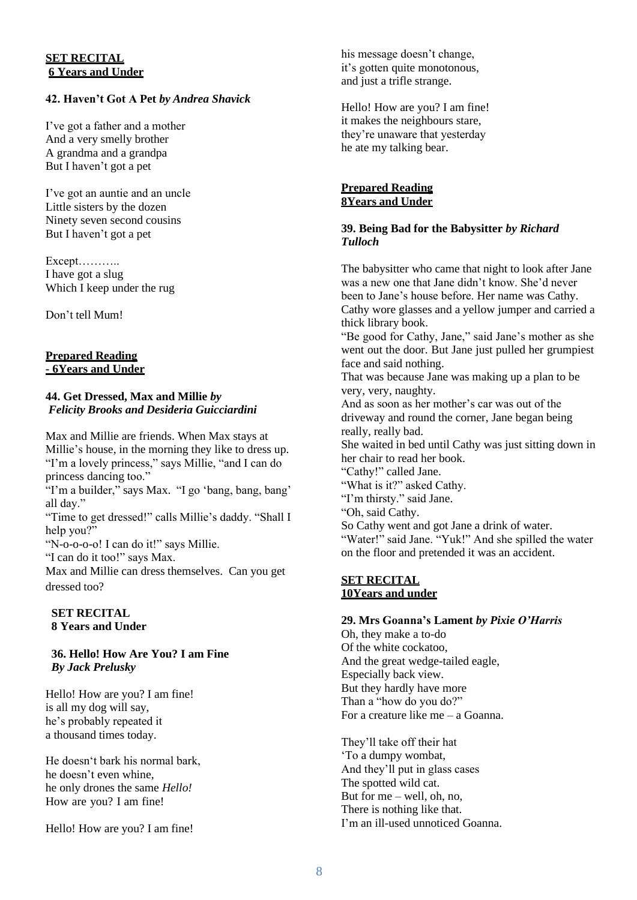#### **SET RECITAL 6 Years and Under**

## **42. Haven't Got A Pet** *by Andrea Shavick*

I've got a father and a mother And a very smelly brother A grandma and a grandpa But I haven't got a pet

I've got an auntie and an uncle Little sisters by the dozen Ninety seven second cousins But I haven't got a pet

Except……….. I have got a slug Which I keep under the rug

Don't tell Mum!

#### **Prepared Reading - 6Years and Under**

#### **44. Get Dressed, Max and Millie** *by Felicity Brooks and Desideria Guicciardini*

Max and Millie are friends. When Max stays at Millie's house, in the morning they like to dress up. "I'm a lovely princess," says Millie, "and I can do princess dancing too."

"I'm a builder," says Max. "I go 'bang, bang, bang' all day."

"Time to get dressed!" calls Millie's daddy. "Shall I help you?"

"N-o-o-o-o! I can do it!" says Millie.

"I can do it too!" says Max.

Max and Millie can dress themselves. Can you get dressed too?

#### **SET RECITAL 8 Years and Under**

#### **36. Hello! How Are You? I am Fine** *By Jack Prelusky*

Hello! How are you? I am fine! is all my dog will say, he's probably repeated it a thousand times today.

He doesn't bark his normal bark, he doesn't even whine, he only drones the same *Hello!* How are you? I am fine!

Hello! How are you? I am fine!

his message doesn't change, it's gotten quite monotonous, and just a trifle strange.

Hello! How are you? I am fine! it makes the neighbours stare, they're unaware that yesterday he ate my talking bear.

#### **Prepared Reading 8Years and Under**

#### **39. Being Bad for the Babysitter** *by Richard Tulloch*

The babysitter who came that night to look after Jane was a new one that Jane didn't know. She'd never been to Jane's house before. Her name was Cathy. Cathy wore glasses and a yellow jumper and carried a thick library book.

"Be good for Cathy, Jane," said Jane's mother as she went out the door. But Jane just pulled her grumpiest face and said nothing.

That was because Jane was making up a plan to be very, very, naughty.

And as soon as her mother's car was out of the driveway and round the corner, Jane began being really, really bad. She waited in bed until Cathy was just sitting down in her chair to read her book. "Cathy!" called Jane. "What is it?" asked Cathy. "I'm thirsty." said Jane. "Oh, said Cathy. So Cathy went and got Jane a drink of water. "Water!" said Jane. "Yuk!" And she spilled the water

#### **SET RECITAL 10Years and under**

#### **29. Mrs Goanna's Lament** *by Pixie O'Harris*

on the floor and pretended it was an accident.

Oh, they make a to-do Of the white cockatoo, And the great wedge-tailed eagle, Especially back view. But they hardly have more Than a "how do you do?" For a creature like me – a Goanna.

They'll take off their hat 'To a dumpy wombat, And they'll put in glass cases The spotted wild cat. But for  $me -$  well, oh, no, There is nothing like that. I'm an ill-used unnoticed Goanna.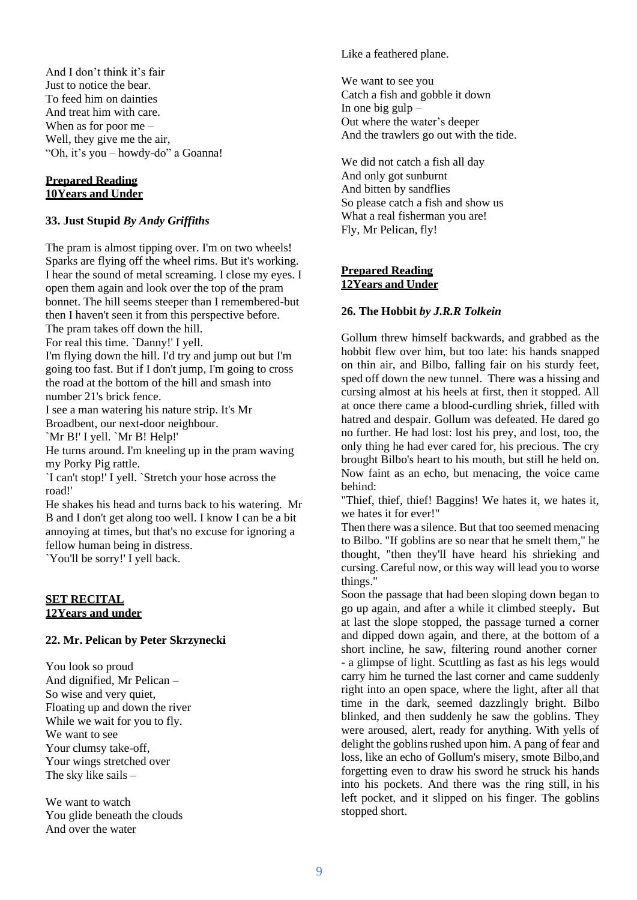And I don't think it's fair Just to notice the bear. To feed him on dainties And treat him with care. When as for poor me – Well, they give me the air, "Oh, it's you – howdy-do" a Goanna!

#### **Prepared Reading 10Years and Under**

#### **33. Just Stupid** *By Andy Griffiths*

The pram is almost tipping over. I'm on two wheels! Sparks are flying off the wheel rims. But it's working. I hear the sound of metal screaming. I close my eyes. I open them again and look over the top of the pram bonnet. The hill seems steeper than I remembered-but then I haven't seen it from this perspective before. The pram takes off down the hill. For real this time. `Danny!' I yell. I'm flying down the hill. I'd try and jump out but I'm going too fast. But if I don't jump, I'm going to cross the road at the bottom of the hill and smash into number 21's brick fence. I see a man watering his nature strip. It's Mr Broadbent, our next-door neighbour. `Mr B!' I yell. `Mr B! Help!' He turns around. I'm kneeling up in the pram waving my Porky Pig rattle. `I can't stop!' I yell. `Stretch your hose across the road!' He shakes his head and turns back to his watering. Mr B and I don't get along too well. I know I can be a bit annoying at times, but that's no excuse for ignoring a fellow human being in distress.

`You'll be sorry!' I yell back.

#### **SET RECITAL 12Years and under**

#### **22. Mr. Pelican by Peter Skrzynecki**

You look so proud And dignified, Mr Pelican – So wise and very quiet, Floating up and down the river While we wait for you to fly. We want to see Your clumsy take-off, Your wings stretched over The sky like sails –

We want to watch You glide beneath the clouds And over the water

Like a feathered plane.

We want to see you Catch a fish and gobble it down In one big gulp  $-$ Out where the water's deeper And the trawlers go out with the tide.

We did not catch a fish all day And only got sunburnt And bitten by sandflies So please catch a fish and show us What a real fisherman you are! Fly, Mr Pelican, fly!

#### **Prepared Reading 12Years and Under**

# **26. The Hobbit** *by J.R.R Tolkein*

Gollum threw himself backwards, and grabbed as the hobbit flew over him, but too late: his hands snapped on thin air, and Bilbo, falling fair on his sturdy feet, sped off down the new tunnel. There was a hissing and cursing almost at his heels at first, then it stopped. All at once there came a blood-curdling shriek, filled with hatred and despair. Gollum was defeated. He dared go no further. He had lost: lost his prey, and lost, too, the only thing he had ever cared for, his precious. The cry brought Bilbo's heart to his mouth, but still he held on. Now faint as an echo, but menacing, the voice came behind:

"Thief, thief, thief! Baggins! We hates it, we hates it, we hates it for ever!"

Then there was a silence. But that too seemed menacing to Bilbo. "If goblins are so near that he smelt them," he thought, "then they'll have heard his shrieking and cursing. Careful now, or this way will lead you to worse things."

Soon the passage that had been sloping down began to go up again, and after a while it climbed steeply**.** But at last the slope stopped, the passage turned a corner and dipped down again, and there, at the bottom of a short incline, he saw, filtering round another corner - a glimpse of light. Scuttling as fast as his legs would carry him he turned the last corner and came suddenly right into an open space, where the light, after all that time in the dark, seemed dazzlingly bright. Bilbo blinked, and then suddenly he saw the goblins. They were aroused, alert, ready for anything. With yells of delight the goblins rushed upon him. A pang of fear and loss, like an echo of Gollum's misery, smote Bilbo,and forgetting even to draw his sword he struck his hands into his pockets. And there was the ring still, in his left pocket, and it slipped on his finger. The goblins stopped short.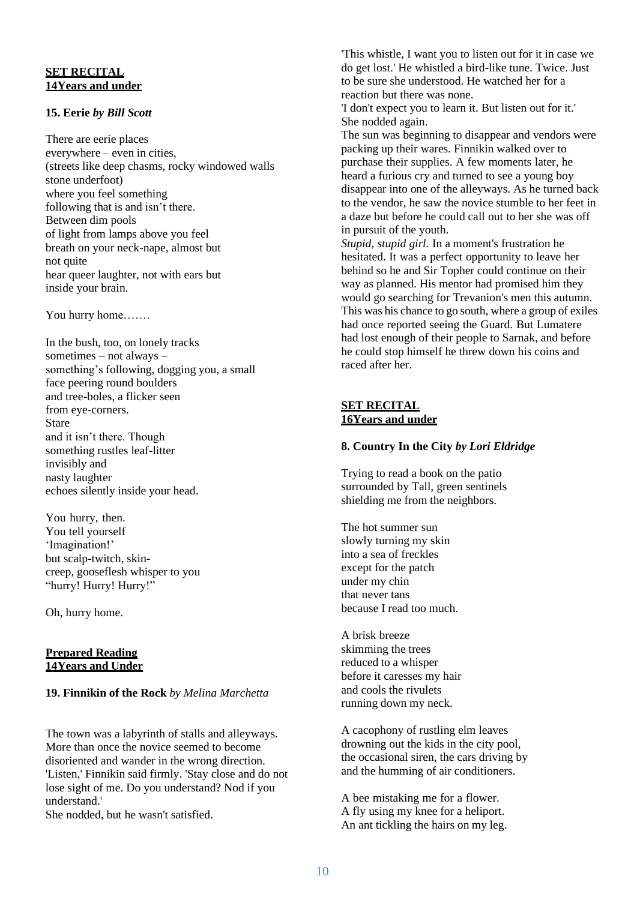# **SET RECITAL 14Years and under**

# **15. Eerie** *by Bill Scott*

There are eerie places everywhere – even in cities, (streets like deep chasms, rocky windowed walls stone underfoot) where you feel something following that is and isn't there. Between dim pools of light from lamps above you feel breath on your neck-nape, almost but not quite hear queer laughter, not with ears but inside your brain.

You hurry home…….

In the bush, too, on lonely tracks sometimes – not always – something's following, dogging you, a small face peering round boulders and tree-boles, a flicker seen from eye-corners. Stare and it isn't there. Though something rustles leaf-litter invisibly and nasty laughter echoes silently inside your head.

You hurry, then. You tell yourself 'Imagination!' but scalp-twitch, skincreep, gooseflesh whisper to you "hurry! Hurry! Hurry!"

Oh, hurry home.

#### **Prepared Reading 14Years and Under**

# **19. Finnikin of the Rock** *by Melina Marchetta*

The town was a labyrinth of stalls and alleyways. More than once the novice seemed to become disoriented and wander in the wrong direction. 'Listen,' Finnikin said firmly. 'Stay close and do not lose sight of me. Do you understand? Nod if you understand.'

She nodded, but he wasn't satisfied.

'This whistle, I want you to listen out for it in case we do get lost.' He whistled a bird-like tune. Twice. Just to be sure she understood. He watched her for a reaction but there was none.

'I don't expect you to learn it. But listen out for it.' She nodded again.

The sun was beginning to disappear and vendors were packing up their wares. Finnikin walked over to purchase their supplies. A few moments later, he heard a furious cry and turned to see a young boy disappear into one of the alleyways. As he turned back to the vendor, he saw the novice stumble to her feet in a daze but before he could call out to her she was off in pursuit of the youth.

*Stupid, stupid girl.* In a moment's frustration he hesitated. It was a perfect opportunity to leave her behind so he and Sir Topher could continue on their way as planned. His mentor had promised him they would go searching for Trevanion's men this autumn. This was his chance to go south, where a group of exiles had once reported seeing the Guard. But Lumatere had lost enough of their people to Sarnak, and before he could stop himself he threw down his coins and raced after her.

## **SET RECITAL 16Years and under**

# **8. Country In the City** *by Lori Eldridge*

Trying to read a book on the patio surrounded by Tall, green sentinels shielding me from the neighbors.

The hot summer sun slowly turning my skin into a sea of freckles except for the patch under my chin that never tans because I read too much.

A brisk breeze skimming the trees reduced to a whisper before it caresses my hair and cools the rivulets running down my neck.

A cacophony of rustling elm leaves drowning out the kids in the city pool, the occasional siren, the cars driving by and the humming of air conditioners.

A bee mistaking me for a flower. A fly using my knee for a heliport. An ant tickling the hairs on my leg.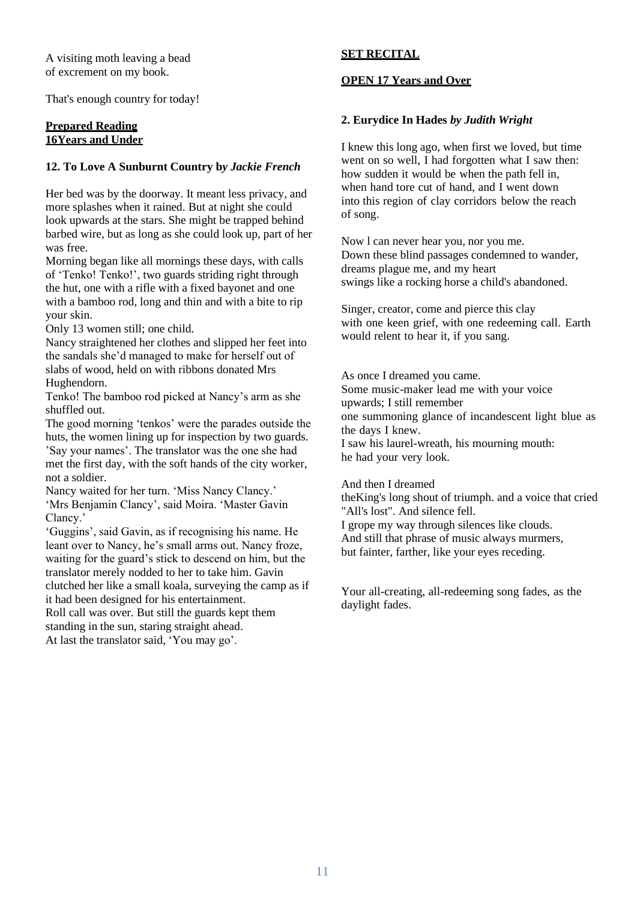A visiting moth leaving a bead of excrement on my book.

That's enough country for today!

#### **Prepared Reading 16Years and Under**

#### **12. To Love A Sunburnt Country b***y Jackie French*

Her bed was by the doorway. It meant less privacy, and more splashes when it rained. But at night she could look upwards at the stars. She might be trapped behind barbed wire, but as long as she could look up, part of her was free.

Morning began like all mornings these days, with calls of 'Tenko! Tenko!', two guards striding right through the hut, one with a rifle with a fixed bayonet and one with a bamboo rod, long and thin and with a bite to rip your skin.

Only 13 women still; one child.

Nancy straightened her clothes and slipped her feet into the sandals she'd managed to make for herself out of slabs of wood, held on with ribbons donated Mrs Hughendorn.

Tenko! The bamboo rod picked at Nancy's arm as she shuffled out.

The good morning 'tenkos' were the parades outside the huts, the women lining up for inspection by two guards. 'Say your names'. The translator was the one she had met the first day, with the soft hands of the city worker, not a soldier.

Nancy waited for her turn. 'Miss Nancy Clancy.' 'Mrs Benjamin Clancy', said Moira. 'Master Gavin Clancy.'

'Guggins', said Gavin, as if recognising his name. He leant over to Nancy, he's small arms out. Nancy froze, waiting for the guard's stick to descend on him, but the translator merely nodded to her to take him. Gavin clutched her like a small koala, surveying the camp as if it had been designed for his entertainment. Roll call was over. But still the guards kept them standing in the sun, staring straight ahead. At last the translator said, 'You may go'.

# **SET RECITAL**

# **OPEN 17 Years and Over**

#### **2. Eurydice In Hades** *by Judith Wright*

I knew this long ago, when first we loved, but time went on so well, I had forgotten what I saw then: how sudden it would be when the path fell in, when hand tore cut of hand, and I went down into this region of clay corridors below the reach of song.

Now l can never hear you, nor you me. Down these blind passages condemned to wander, dreams plague me, and my heart swings like a rocking horse a child's abandoned.

Singer, creator, come and pierce this clay with one keen grief, with one redeeming call. Earth would relent to hear it, if you sang.

As once I dreamed you came. Some music-maker lead me with your voice upwards; I still remember one summoning glance of incandescent light blue as the days I knew. I saw his laurel-wreath, his mourning mouth: he had your very look.

And then I dreamed

theKing's long shout of triumph. and a voice that cried "All's lost". And silence fell. I grope my way through silences like clouds. And still that phrase of music always murmers, but fainter, farther, like your eyes receding.

Your all-creating, all-redeeming song fades, as the daylight fades.